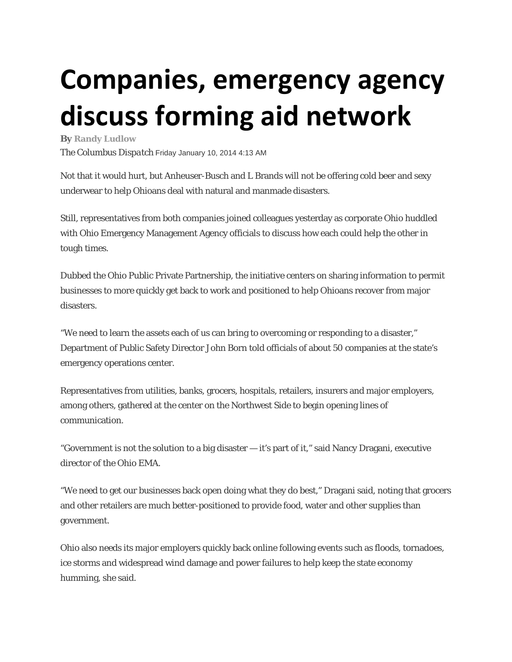## **Companies, emergency agency discuss forming aid network**

**By Randy Ludlow** 

*The Columbus Dispatch* Friday January 10, 2014 4:13 AM

Not that it would hurt, but Anheuser-Busch and L Brands will not be offering cold beer and sexy underwear to help Ohioans deal with natural and manmade disasters.

Still, representatives from both companies joined colleagues yesterday as corporate Ohio huddled with Ohio Emergency Management Agency officials to discuss how each could help the other in tough times.

Dubbed the Ohio Public Private Partnership, the initiative centers on sharing information to permit businesses to more quickly get back to work and positioned to help Ohioans recover from major disasters.

"We need to learn the assets each of us can bring to overcoming or responding to a disaster," Department of Public Safety Director John Born told officials of about 50 companies at the state's emergency operations center.

Representatives from utilities, banks, grocers, hospitals, retailers, insurers and major employers, among others, gathered at the center on the Northwest Side to begin opening lines of communication.

"Government is not the solution to a big disaster — it's part of it," said Nancy Dragani, executive director of the Ohio EMA.

"We need to get our businesses back open doing what they do best," Dragani said, noting that grocers and other retailers are much better-positioned to provide food, water and other supplies than government.

Ohio also needs its major employers quickly back online following events such as floods, tornadoes, ice storms and widespread wind damage and power failures to help keep the state economy humming, she said.